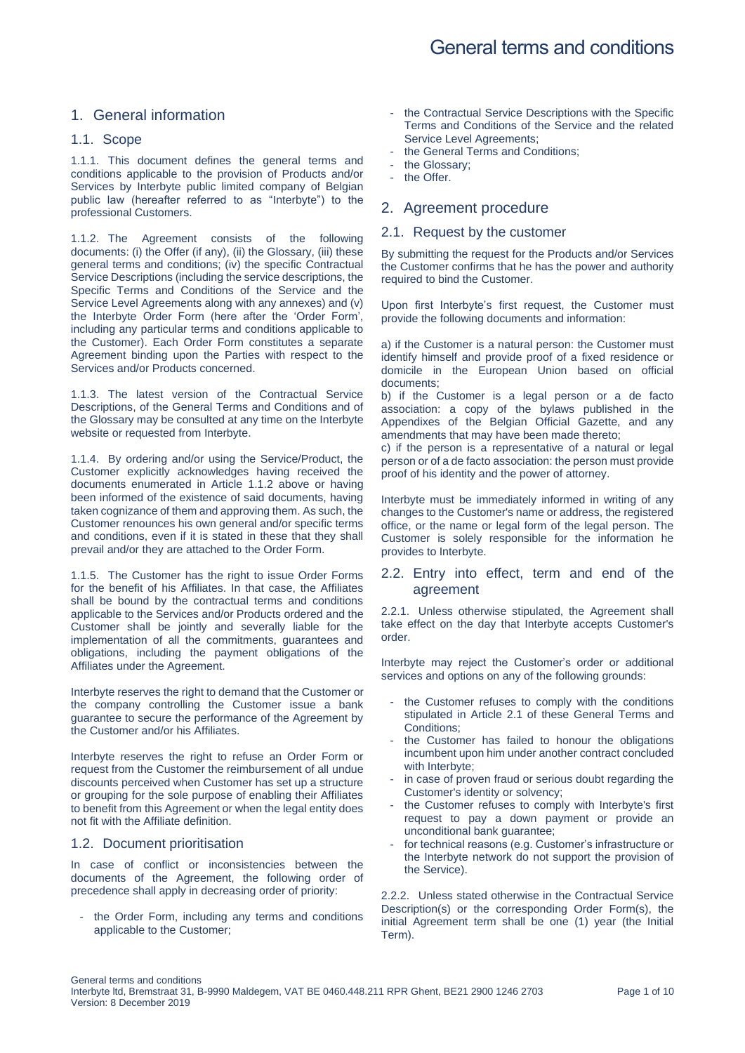## 1. General information

#### 1.1. Scope

1.1.1. This document defines the general terms and conditions applicable to the provision of Products and/or Services by Interbyte public limited company of Belgian public law (hereafter referred to as "Interbyte") to the professional Customers.

<span id="page-0-0"></span>1.1.2. The Agreement consists of the following documents: (i) the Offer (if any), (ii) the Glossary, (iii) these general terms and conditions; (iv) the specific Contractual Service Descriptions (including the service descriptions, the Specific Terms and Conditions of the Service and the Service Level Agreements along with any annexes) and (v) the Interbyte Order Form (here after the 'Order Form', including any particular terms and conditions applicable to the Customer). Each Order Form constitutes a separate Agreement binding upon the Parties with respect to the Services and/or Products concerned.

1.1.3. The latest version of the Contractual Service Descriptions, of the General Terms and Conditions and of the Glossary may be consulted at any time on the Interbyte website or requested from Interbyte.

1.1.4. By ordering and/or using the Service/Product, the Customer explicitly acknowledges having received the documents enumerated in Article [1.1.2](#page-0-0) above or having been informed of the existence of said documents, having taken cognizance of them and approving them. As such, the Customer renounces his own general and/or specific terms and conditions, even if it is stated in these that they shall prevail and/or they are attached to the Order Form.

1.1.5. The Customer has the right to issue Order Forms for the benefit of his Affiliates. In that case, the Affiliates shall be bound by the contractual terms and conditions applicable to the Services and/or Products ordered and the Customer shall be jointly and severally liable for the implementation of all the commitments, guarantees and obligations, including the payment obligations of the Affiliates under the Agreement.

Interbyte reserves the right to demand that the Customer or the company controlling the Customer issue a bank guarantee to secure the performance of the Agreement by the Customer and/or his Affiliates.

Interbyte reserves the right to refuse an Order Form or request from the Customer the reimbursement of all undue discounts perceived when Customer has set up a structure or grouping for the sole purpose of enabling their Affiliates to benefit from this Agreement or when the legal entity does not fit with the Affiliate definition.

#### 1.2. Document prioritisation

In case of conflict or inconsistencies between the documents of the Agreement, the following order of precedence shall apply in decreasing order of priority:

- the Order Form, including any terms and conditions applicable to the Customer;

- the Contractual Service Descriptions with the Specific Terms and Conditions of the Service and the related Service Level Agreements;
- the General Terms and Conditions;
- the Glossary;
- the Offer.

## 2. Agreement procedure

#### <span id="page-0-1"></span>2.1. Request by the customer

By submitting the request for the Products and/or Services the Customer confirms that he has the power and authority required to bind the Customer.

Upon first Interbyte's first request, the Customer must provide the following documents and information:

a) if the Customer is a natural person: the Customer must identify himself and provide proof of a fixed residence or domicile in the European Union based on official documents;

b) if the Customer is a legal person or a de facto association: a copy of the bylaws published in the Appendixes of the Belgian Official Gazette, and any amendments that may have been made thereto;

c) if the person is a representative of a natural or legal person or of a de facto association: the person must provide proof of his identity and the power of attorney.

Interbyte must be immediately informed in writing of any changes to the Customer's name or address, the registered office, or the name or legal form of the legal person. The Customer is solely responsible for the information he provides to Interbyte.

#### 2.2. Entry into effect, term and end of the agreement

2.2.1. Unless otherwise stipulated, the Agreement shall take effect on the day that Interbyte accepts Customer's order.

Interbyte may reject the Customer's order or additional services and options on any of the following grounds:

- the Customer refuses to comply with the conditions stipulated in Article [2.1](#page-0-1) of these General Terms and Conditions:
- the Customer has failed to honour the obligations incumbent upon him under another contract concluded with Interbyte;
- in case of proven fraud or serious doubt regarding the Customer's identity or solvency;
- the Customer refuses to comply with Interbyte's first request to pay a down payment or provide an unconditional bank guarantee;
- for technical reasons (e.g. Customer's infrastructure or the Interbyte network do not support the provision of the Service).

2.2.2. Unless stated otherwise in the Contractual Service Description(s) or the corresponding Order Form(s), the initial Agreement term shall be one (1) year (the Initial Term).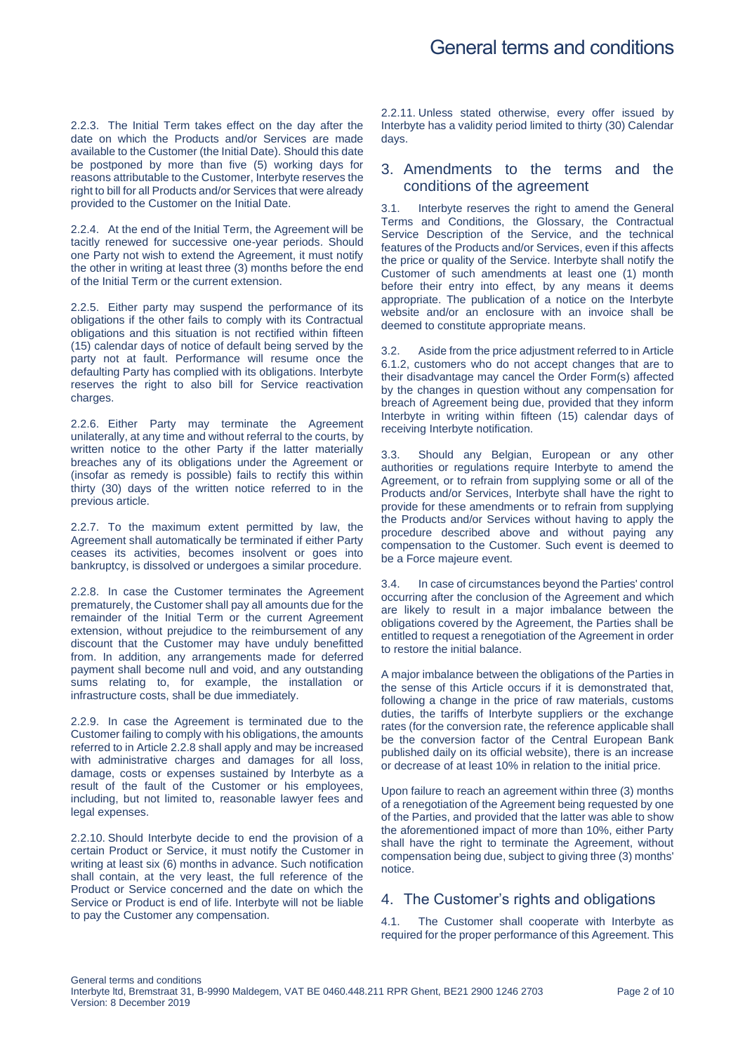2.2.3. The Initial Term takes effect on the day after the date on which the Products and/or Services are made available to the Customer (the Initial Date). Should this date be postponed by more than five (5) working days for reasons attributable to the Customer, Interbyte reserves the right to bill for all Products and/or Services that were already provided to the Customer on the Initial Date.

2.2.4. At the end of the Initial Term, the Agreement will be tacitly renewed for successive one-year periods. Should one Party not wish to extend the Agreement, it must notify the other in writing at least three (3) months before the end of the Initial Term or the current extension.

2.2.5. Either party may suspend the performance of its obligations if the other fails to comply with its Contractual obligations and this situation is not rectified within fifteen (15) calendar days of notice of default being served by the party not at fault. Performance will resume once the defaulting Party has complied with its obligations. Interbyte reserves the right to also bill for Service reactivation charges.

2.2.6. Either Party may terminate the Agreement unilaterally, at any time and without referral to the courts, by written notice to the other Party if the latter materially breaches any of its obligations under the Agreement or (insofar as remedy is possible) fails to rectify this within thirty (30) days of the written notice referred to in the previous article.

2.2.7. To the maximum extent permitted by law, the Agreement shall automatically be terminated if either Party ceases its activities, becomes insolvent or goes into bankruptcy, is dissolved or undergoes a similar procedure.

<span id="page-1-0"></span>2.2.8. In case the Customer terminates the Agreement prematurely, the Customer shall pay all amounts due for the remainder of the Initial Term or the current Agreement extension, without prejudice to the reimbursement of any discount that the Customer may have unduly benefitted from. In addition, any arrangements made for deferred payment shall become null and void, and any outstanding sums relating to, for example, the installation or infrastructure costs, shall be due immediately.

2.2.9. In case the Agreement is terminated due to the Customer failing to comply with his obligations, the amounts referred to in Articl[e 2.2.8](#page-1-0) shall apply and may be increased with administrative charges and damages for all loss, damage, costs or expenses sustained by Interbyte as a result of the fault of the Customer or his employees, including, but not limited to, reasonable lawyer fees and legal expenses.

2.2.10. Should Interbyte decide to end the provision of a certain Product or Service, it must notify the Customer in writing at least six (6) months in advance. Such notification shall contain, at the very least, the full reference of the Product or Service concerned and the date on which the Service or Product is end of life. Interbyte will not be liable to pay the Customer any compensation.

2.2.11. Unless stated otherwise, every offer issued by Interbyte has a validity period limited to thirty (30) Calendar days.

## 3. Amendments to the terms and the conditions of the agreement

3.1. Interbyte reserves the right to amend the General Terms and Conditions, the Glossary, the Contractual Service Description of the Service, and the technical features of the Products and/or Services, even if this affects the price or quality of the Service. Interbyte shall notify the Customer of such amendments at least one (1) month before their entry into effect, by any means it deems appropriate. The publication of a notice on the Interbyte website and/or an enclosure with an invoice shall be deemed to constitute appropriate means.

3.2. Aside from the price adjustment referred to in Article [6.1.2,](#page-3-0) customers who do not accept changes that are to their disadvantage may cancel the Order Form(s) affected by the changes in question without any compensation for breach of Agreement being due, provided that they inform Interbyte in writing within fifteen (15) calendar days of receiving Interbyte notification.

3.3. Should any Belgian, European or any other authorities or regulations require Interbyte to amend the Agreement, or to refrain from supplying some or all of the Products and/or Services, Interbyte shall have the right to provide for these amendments or to refrain from supplying the Products and/or Services without having to apply the procedure described above and without paying any compensation to the Customer. Such event is deemed to be a Force majeure event.

3.4. In case of circumstances beyond the Parties' control occurring after the conclusion of the Agreement and which are likely to result in a major imbalance between the obligations covered by the Agreement, the Parties shall be entitled to request a renegotiation of the Agreement in order to restore the initial balance.

A major imbalance between the obligations of the Parties in the sense of this Article occurs if it is demonstrated that, following a change in the price of raw materials, customs duties, the tariffs of Interbyte suppliers or the exchange rates (for the conversion rate, the reference applicable shall be the conversion factor of the Central European Bank published daily on its official website), there is an increase or decrease of at least 10% in relation to the initial price.

Upon failure to reach an agreement within three (3) months of a renegotiation of the Agreement being requested by one of the Parties, and provided that the latter was able to show the aforementioned impact of more than 10%, either Party shall have the right to terminate the Agreement, without compensation being due, subject to giving three (3) months' notice.

## 4. The Customer's rights and obligations

4.1. The Customer shall cooperate with Interbyte as required for the proper performance of this Agreement. This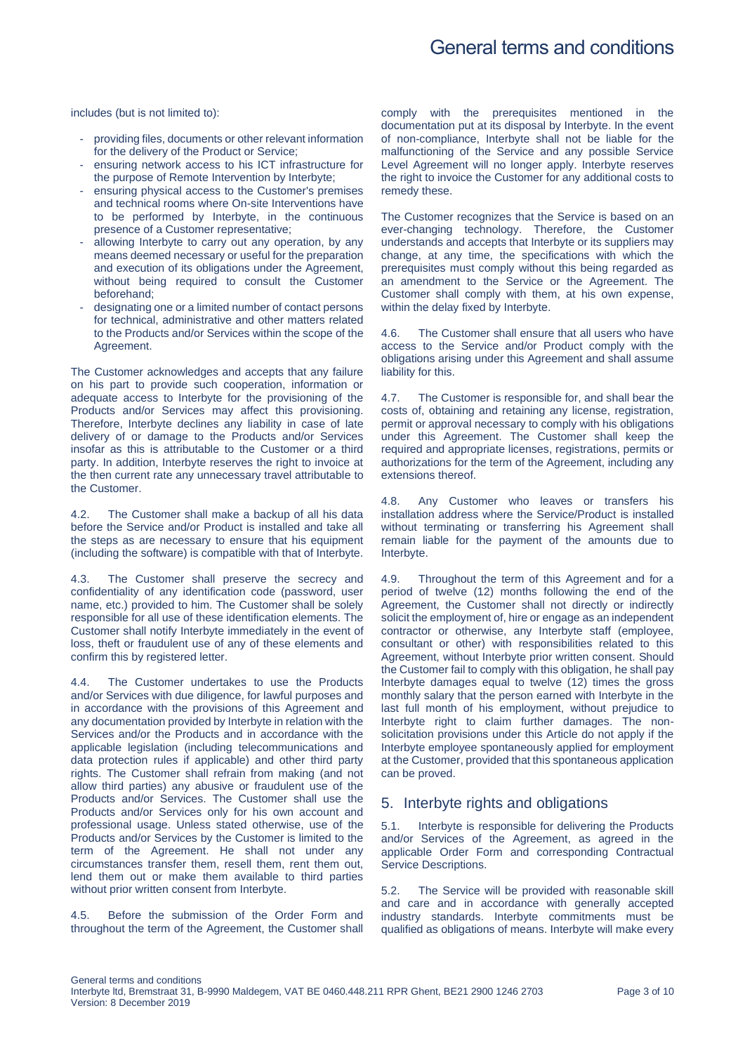includes (but is not limited to):

- providing files, documents or other relevant information for the delivery of the Product or Service;
- ensuring network access to his ICT infrastructure for the purpose of Remote Intervention by Interbyte;
- ensuring physical access to the Customer's premises and technical rooms where On-site Interventions have to be performed by Interbyte, in the continuous presence of a Customer representative;
- allowing Interbyte to carry out any operation, by any means deemed necessary or useful for the preparation and execution of its obligations under the Agreement, without being required to consult the Customer beforehand;
- designating one or a limited number of contact persons for technical, administrative and other matters related to the Products and/or Services within the scope of the Agreement.

The Customer acknowledges and accepts that any failure on his part to provide such cooperation, information or adequate access to Interbyte for the provisioning of the Products and/or Services may affect this provisioning. Therefore, Interbyte declines any liability in case of late delivery of or damage to the Products and/or Services insofar as this is attributable to the Customer or a third party. In addition, Interbyte reserves the right to invoice at the then current rate any unnecessary travel attributable to the Customer.

4.2. The Customer shall make a backup of all his data before the Service and/or Product is installed and take all the steps as are necessary to ensure that his equipment (including the software) is compatible with that of Interbyte.

4.3. The Customer shall preserve the secrecy and confidentiality of any identification code (password, user name, etc.) provided to him. The Customer shall be solely responsible for all use of these identification elements. The Customer shall notify Interbyte immediately in the event of loss, theft or fraudulent use of any of these elements and confirm this by registered letter.

4.4. The Customer undertakes to use the Products and/or Services with due diligence, for lawful purposes and in accordance with the provisions of this Agreement and any documentation provided by Interbyte in relation with the Services and/or the Products and in accordance with the applicable legislation (including telecommunications and data protection rules if applicable) and other third party rights. The Customer shall refrain from making (and not allow third parties) any abusive or fraudulent use of the Products and/or Services. The Customer shall use the Products and/or Services only for his own account and professional usage. Unless stated otherwise, use of the Products and/or Services by the Customer is limited to the term of the Agreement. He shall not under any circumstances transfer them, resell them, rent them out, lend them out or make them available to third parties without prior written consent from Interbyte.

Before the submission of the Order Form and throughout the term of the Agreement, the Customer shall

comply with the prerequisites mentioned in the documentation put at its disposal by Interbyte. In the event of non-compliance, Interbyte shall not be liable for the malfunctioning of the Service and any possible Service Level Agreement will no longer apply. Interbyte reserves the right to invoice the Customer for any additional costs to remedy these.

The Customer recognizes that the Service is based on an ever-changing technology. Therefore, the Customer understands and accepts that Interbyte or its suppliers may change, at any time, the specifications with which the prerequisites must comply without this being regarded as an amendment to the Service or the Agreement. The Customer shall comply with them, at his own expense, within the delay fixed by Interbyte.

4.6. The Customer shall ensure that all users who have access to the Service and/or Product comply with the obligations arising under this Agreement and shall assume liability for this.

4.7. The Customer is responsible for, and shall bear the costs of, obtaining and retaining any license, registration, permit or approval necessary to comply with his obligations under this Agreement. The Customer shall keep the required and appropriate licenses, registrations, permits or authorizations for the term of the Agreement, including any extensions thereof.

4.8. Any Customer who leaves or transfers his installation address where the Service/Product is installed without terminating or transferring his Agreement shall remain liable for the payment of the amounts due to Interbyte.

4.9. Throughout the term of this Agreement and for a period of twelve (12) months following the end of the Agreement, the Customer shall not directly or indirectly solicit the employment of, hire or engage as an independent contractor or otherwise, any Interbyte staff (employee, consultant or other) with responsibilities related to this Agreement, without Interbyte prior written consent. Should the Customer fail to comply with this obligation, he shall pay Interbyte damages equal to twelve (12) times the gross monthly salary that the person earned with Interbyte in the last full month of his employment, without prejudice to Interbyte right to claim further damages. The nonsolicitation provisions under this Article do not apply if the Interbyte employee spontaneously applied for employment at the Customer, provided that this spontaneous application can be proved.

## 5. Interbyte rights and obligations

5.1. Interbyte is responsible for delivering the Products and/or Services of the Agreement, as agreed in the applicable Order Form and corresponding Contractual Service Descriptions.

5.2. The Service will be provided with reasonable skill and care and in accordance with generally accepted industry standards. Interbyte commitments must be qualified as obligations of means. Interbyte will make every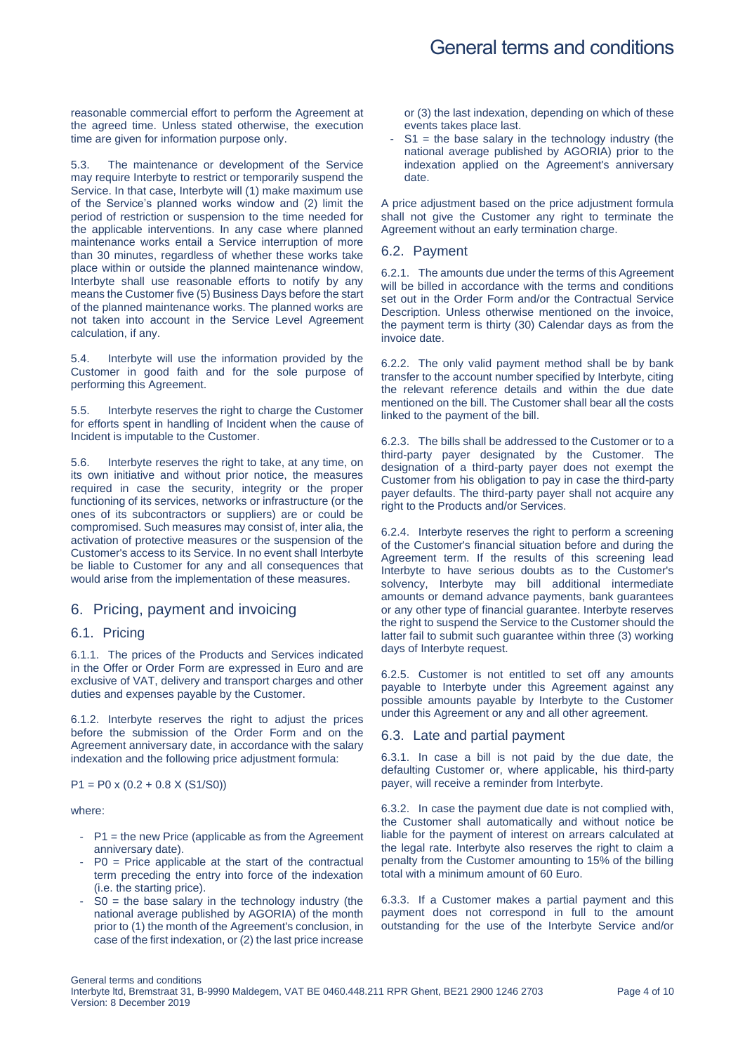reasonable commercial effort to perform the Agreement at the agreed time. Unless stated otherwise, the execution time are given for information purpose only.

5.3. The maintenance or development of the Service may require Interbyte to restrict or temporarily suspend the Service. In that case, Interbyte will (1) make maximum use of the Service's planned works window and (2) limit the period of restriction or suspension to the time needed for the applicable interventions. In any case where planned maintenance works entail a Service interruption of more than 30 minutes, regardless of whether these works take place within or outside the planned maintenance window, Interbyte shall use reasonable efforts to notify by any means the Customer five (5) Business Days before the start of the planned maintenance works. The planned works are not taken into account in the Service Level Agreement calculation, if any.

5.4. Interbyte will use the information provided by the Customer in good faith and for the sole purpose of performing this Agreement.

5.5. Interbyte reserves the right to charge the Customer for efforts spent in handling of Incident when the cause of Incident is imputable to the Customer.

5.6. Interbyte reserves the right to take, at any time, on its own initiative and without prior notice, the measures required in case the security, integrity or the proper functioning of its services, networks or infrastructure (or the ones of its subcontractors or suppliers) are or could be compromised. Such measures may consist of, inter alia, the activation of protective measures or the suspension of the Customer's access to its Service. In no event shall Interbyte be liable to Customer for any and all consequences that would arise from the implementation of these measures.

## 6. Pricing, payment and invoicing

#### 6.1. Pricing

6.1.1. The prices of the Products and Services indicated in the Offer or Order Form are expressed in Euro and are exclusive of VAT, delivery and transport charges and other duties and expenses payable by the Customer.

<span id="page-3-0"></span>6.1.2. Interbyte reserves the right to adjust the prices before the submission of the Order Form and on the Agreement anniversary date, in accordance with the salary indexation and the following price adjustment formula:

 $P1 = P0 \times (0.2 + 0.8 \times (S1/S0))$ 

where:

- P1 = the new Price (applicable as from the Agreement anniversary date).
- $P0$  = Price applicable at the start of the contractual term preceding the entry into force of the indexation (i.e. the starting price).
- $SO =$  the base salary in the technology industry (the national average published by AGORIA) of the month prior to (1) the month of the Agreement's conclusion, in case of the first indexation, or (2) the last price increase

or (3) the last indexation, depending on which of these events takes place last.

 $S1$  = the base salary in the technology industry (the national average published by AGORIA) prior to the indexation applied on the Agreement's anniversary date.

A price adjustment based on the price adjustment formula shall not give the Customer any right to terminate the Agreement without an early termination charge.

### 6.2. Payment

6.2.1. The amounts due under the terms of this Agreement will be billed in accordance with the terms and conditions set out in the Order Form and/or the Contractual Service Description. Unless otherwise mentioned on the invoice, the payment term is thirty (30) Calendar days as from the invoice date.

6.2.2. The only valid payment method shall be by bank transfer to the account number specified by Interbyte, citing the relevant reference details and within the due date mentioned on the bill. The Customer shall bear all the costs linked to the payment of the bill.

6.2.3. The bills shall be addressed to the Customer or to a third-party payer designated by the Customer. The designation of a third-party payer does not exempt the Customer from his obligation to pay in case the third-party payer defaults. The third-party payer shall not acquire any right to the Products and/or Services.

6.2.4. Interbyte reserves the right to perform a screening of the Customer's financial situation before and during the Agreement term. If the results of this screening lead Interbyte to have serious doubts as to the Customer's solvency, Interbyte may bill additional intermediate amounts or demand advance payments, bank guarantees or any other type of financial guarantee. Interbyte reserves the right to suspend the Service to the Customer should the latter fail to submit such guarantee within three (3) working days of Interbyte request.

6.2.5. Customer is not entitled to set off any amounts payable to Interbyte under this Agreement against any possible amounts payable by Interbyte to the Customer under this Agreement or any and all other agreement.

#### 6.3. Late and partial payment

6.3.1. In case a bill is not paid by the due date, the defaulting Customer or, where applicable, his third-party payer, will receive a reminder from Interbyte.

6.3.2. In case the payment due date is not complied with, the Customer shall automatically and without notice be liable for the payment of interest on arrears calculated at the legal rate. Interbyte also reserves the right to claim a penalty from the Customer amounting to 15% of the billing total with a minimum amount of 60 Euro.

6.3.3. If a Customer makes a partial payment and this payment does not correspond in full to the amount outstanding for the use of the Interbyte Service and/or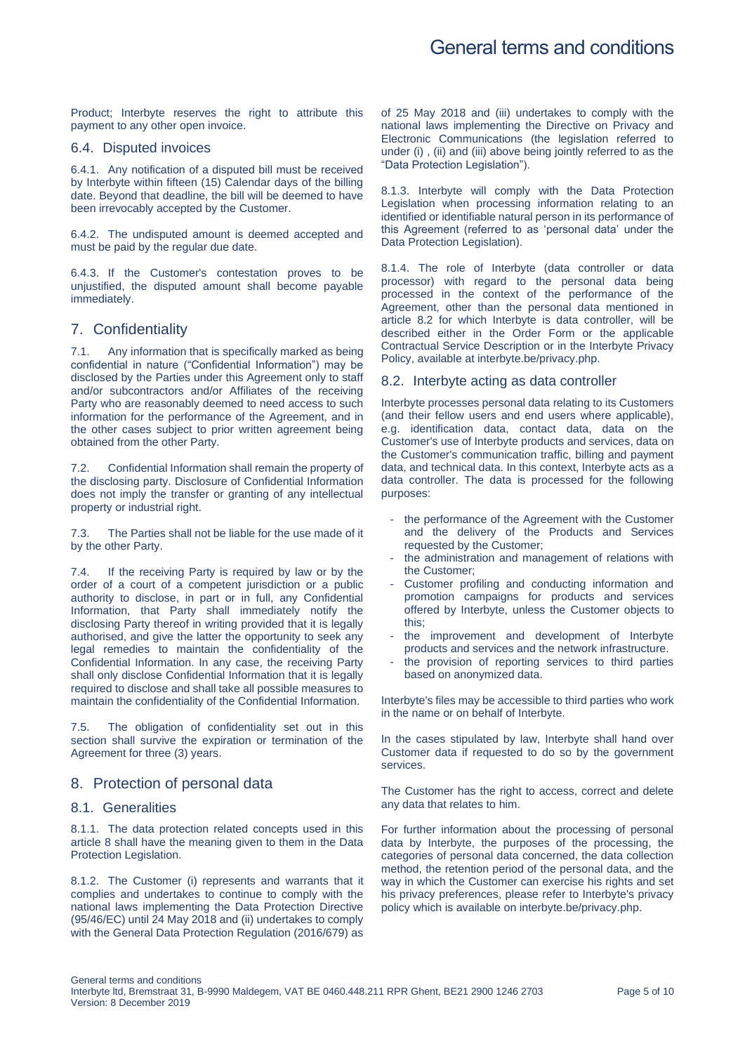Product; Interbyte reserves the right to attribute this payment to any other open invoice.

#### 6.4. Disputed invoices

6.4.1. Any notification of a disputed bill must be received by Interbyte within fifteen (15) Calendar days of the billing date. Beyond that deadline, the bill will be deemed to have been irrevocably accepted by the Customer.

6.4.2. The undisputed amount is deemed accepted and must be paid by the regular due date.

6.4.3. If the Customer's contestation proves to be unjustified, the disputed amount shall become payable immediately.

### 7. Confidentiality

7.1. Any information that is specifically marked as being confidential in nature ("Confidential Information") may be disclosed by the Parties under this Agreement only to staff and/or subcontractors and/or Affiliates of the receiving Party who are reasonably deemed to need access to such information for the performance of the Agreement, and in the other cases subject to prior written agreement being obtained from the other Party.

7.2. Confidential Information shall remain the property of the disclosing party. Disclosure of Confidential Information does not imply the transfer or granting of any intellectual property or industrial right.

7.3. The Parties shall not be liable for the use made of it by the other Party.

7.4. If the receiving Party is required by law or by the order of a court of a competent jurisdiction or a public authority to disclose, in part or in full, any Confidential Information, that Party shall immediately notify the disclosing Party thereof in writing provided that it is legally authorised, and give the latter the opportunity to seek any legal remedies to maintain the confidentiality of the Confidential Information. In any case, the receiving Party shall only disclose Confidential Information that it is legally required to disclose and shall take all possible measures to maintain the confidentiality of the Confidential Information.

7.5. The obligation of confidentiality set out in this section shall survive the expiration or termination of the Agreement for three (3) years.

## <span id="page-4-0"></span>8. Protection of personal data

#### 8.1. Generalities

8.1.1. The data protection related concepts used in this article [8](#page-4-0) shall have the meaning given to them in the Data Protection Legislation.

8.1.2. The Customer (i) represents and warrants that it complies and undertakes to continue to comply with the national laws implementing the Data Protection Directive (95/46/EC) until 24 May 2018 and (ii) undertakes to comply with the General Data Protection Regulation (2016/679) as of 25 May 2018 and (iii) undertakes to comply with the national laws implementing the Directive on Privacy and Electronic Communications (the legislation referred to under (i) , (ii) and (iii) above being jointly referred to as the "Data Protection Legislation").

8.1.3. Interbyte will comply with the Data Protection Legislation when processing information relating to an identified or identifiable natural person in its performance of this Agreement (referred to as 'personal data' under the Data Protection Legislation).

8.1.4. The role of Interbyte (data controller or data processor) with regard to the personal data being processed in the context of the performance of the Agreement, other than the personal data mentioned in article [8.2](#page-4-1) for which Interbyte is data controller, will be described either in the Order Form or the applicable Contractual Service Description or in the Interbyte Privacy Policy, available at interbyte.be/privacy.php.

#### <span id="page-4-1"></span>8.2. Interbyte acting as data controller

Interbyte processes personal data relating to its Customers (and their fellow users and end users where applicable), e.g. identification data, contact data, data on the Customer's use of Interbyte products and services, data on the Customer's communication traffic, billing and payment data, and technical data. In this context, Interbyte acts as a data controller. The data is processed for the following purposes:

- the performance of the Agreement with the Customer and the delivery of the Products and Services requested by the Customer;
- the administration and management of relations with the Customer;
- Customer profiling and conducting information and promotion campaigns for products and services offered by Interbyte, unless the Customer objects to this;
- the improvement and development of Interbyte products and services and the network infrastructure.
- the provision of reporting services to third parties based on anonymized data.

Interbyte's files may be accessible to third parties who work in the name or on behalf of Interbyte.

In the cases stipulated by law, Interbyte shall hand over Customer data if requested to do so by the government services.

The Customer has the right to access, correct and delete any data that relates to him.

For further information about the processing of personal data by Interbyte, the purposes of the processing, the categories of personal data concerned, the data collection method, the retention period of the personal data, and the way in which the Customer can exercise his rights and set his privacy preferences, please refer to Interbyte's privacy policy which is available on interbyte.be/privacy.php.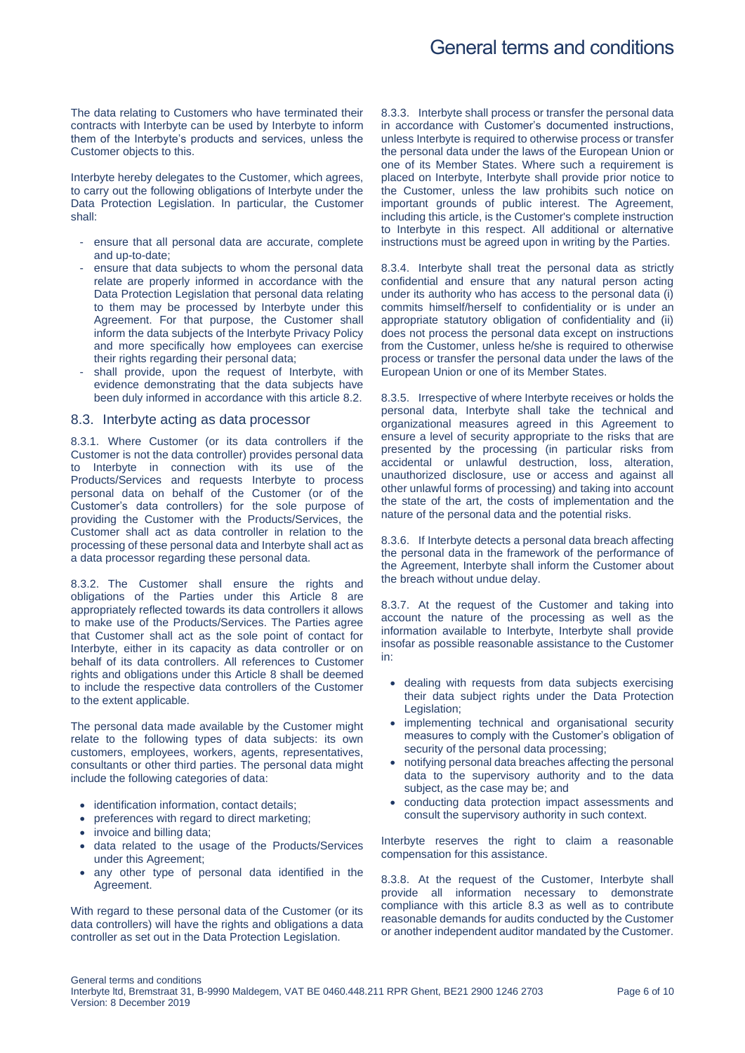The data relating to Customers who have terminated their contracts with Interbyte can be used by Interbyte to inform them of the Interbyte's products and services, unless the Customer objects to this.

Interbyte hereby delegates to the Customer, which agrees, to carry out the following obligations of Interbyte under the Data Protection Legislation. In particular, the Customer shall:

- ensure that all personal data are accurate, complete and up-to-date;
- ensure that data subjects to whom the personal data relate are properly informed in accordance with the Data Protection Legislation that personal data relating to them may be processed by Interbyte under this Agreement. For that purpose, the Customer shall inform the data subjects of the Interbyte Privacy Policy and more specifically how employees can exercise their rights regarding their personal data;
- shall provide, upon the request of Interbyte, with evidence demonstrating that the data subjects have been duly informed in accordance with this article [8.2.](#page-4-1)

#### <span id="page-5-0"></span>8.3. Interbyte acting as data processor

8.3.1. Where Customer (or its data controllers if the Customer is not the data controller) provides personal data to Interbyte in connection with its use of the Products/Services and requests Interbyte to process personal data on behalf of the Customer (or of the Customer's data controllers) for the sole purpose of providing the Customer with the Products/Services, the Customer shall act as data controller in relation to the processing of these personal data and Interbyte shall act as a data processor regarding these personal data.

8.3.2. The Customer shall ensure the rights and obligations of the Parties under this Article [8](#page-4-0) are appropriately reflected towards its data controllers it allows to make use of the Products/Services. The Parties agree that Customer shall act as the sole point of contact for Interbyte, either in its capacity as data controller or on behalf of its data controllers. All references to Customer rights and obligations under this Article [8](#page-4-0) shall be deemed to include the respective data controllers of the Customer to the extent applicable.

The personal data made available by the Customer might relate to the following types of data subjects: its own customers, employees, workers, agents, representatives, consultants or other third parties. The personal data might include the following categories of data:

- identification information, contact details;
- preferences with regard to direct marketing;
- invoice and billing data:
- data related to the usage of the Products/Services under this Agreement;
- any other type of personal data identified in the Agreement.

With regard to these personal data of the Customer (or its data controllers) will have the rights and obligations a data controller as set out in the Data Protection Legislation.

8.3.3. Interbyte shall process or transfer the personal data in accordance with Customer's documented instructions, unless Interbyte is required to otherwise process or transfer the personal data under the laws of the European Union or one of its Member States. Where such a requirement is placed on Interbyte, Interbyte shall provide prior notice to the Customer, unless the law prohibits such notice on important grounds of public interest. The Agreement, including this article, is the Customer's complete instruction to Interbyte in this respect. All additional or alternative instructions must be agreed upon in writing by the Parties.

8.3.4. Interbyte shall treat the personal data as strictly confidential and ensure that any natural person acting under its authority who has access to the personal data (i) commits himself/herself to confidentiality or is under an appropriate statutory obligation of confidentiality and (ii) does not process the personal data except on instructions from the Customer, unless he/she is required to otherwise process or transfer the personal data under the laws of the European Union or one of its Member States.

8.3.5. Irrespective of where Interbyte receives or holds the personal data, Interbyte shall take the technical and organizational measures agreed in this Agreement to ensure a level of security appropriate to the risks that are presented by the processing (in particular risks from accidental or unlawful destruction, loss, alteration, unauthorized disclosure, use or access and against all other unlawful forms of processing) and taking into account the state of the art, the costs of implementation and the nature of the personal data and the potential risks.

8.3.6. If Interbyte detects a personal data breach affecting the personal data in the framework of the performance of the Agreement, Interbyte shall inform the Customer about the breach without undue delay.

8.3.7. At the request of the Customer and taking into account the nature of the processing as well as the information available to Interbyte, Interbyte shall provide insofar as possible reasonable assistance to the Customer in:

- dealing with requests from data subjects exercising their data subject rights under the Data Protection Legislation:
- implementing technical and organisational security measures to comply with the Customer's obligation of security of the personal data processing;
- notifying personal data breaches affecting the personal data to the supervisory authority and to the data subject, as the case may be; and
- conducting data protection impact assessments and consult the supervisory authority in such context.

Interbyte reserves the right to claim a reasonable compensation for this assistance.

8.3.8. At the request of the Customer, Interbyte shall provide all information necessary to demonstrate compliance with this article [8.3](#page-5-0) as well as to contribute reasonable demands for audits conducted by the Customer or another independent auditor mandated by the Customer.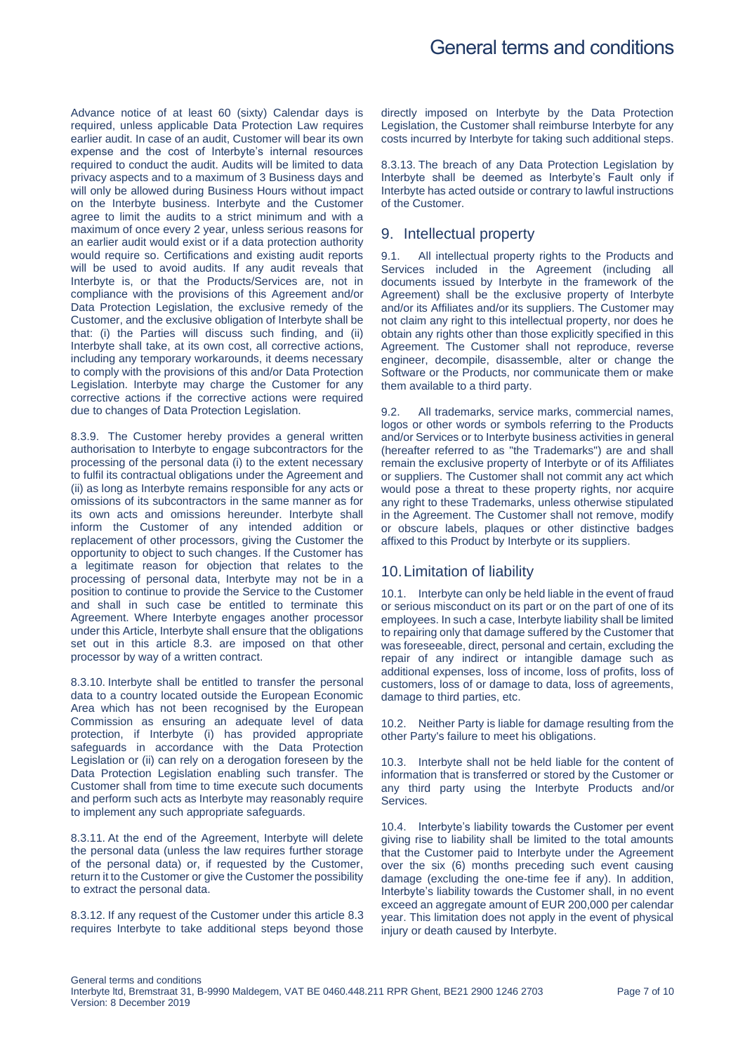Advance notice of at least 60 (sixty) Calendar days is required, unless applicable Data Protection Law requires earlier audit. In case of an audit, Customer will bear its own expense and the cost of Interbyte's internal resources required to conduct the audit. Audits will be limited to data privacy aspects and to a maximum of 3 Business days and will only be allowed during Business Hours without impact on the Interbyte business. Interbyte and the Customer agree to limit the audits to a strict minimum and with a maximum of once every 2 year, unless serious reasons for an earlier audit would exist or if a data protection authority would require so. Certifications and existing audit reports will be used to avoid audits. If any audit reveals that Interbyte is, or that the Products/Services are, not in compliance with the provisions of this Agreement and/or Data Protection Legislation, the exclusive remedy of the Customer, and the exclusive obligation of Interbyte shall be that: (i) the Parties will discuss such finding, and (ii) Interbyte shall take, at its own cost, all corrective actions, including any temporary workarounds, it deems necessary to comply with the provisions of this and/or Data Protection Legislation. Interbyte may charge the Customer for any corrective actions if the corrective actions were required due to changes of Data Protection Legislation.

8.3.9. The Customer hereby provides a general written authorisation to Interbyte to engage subcontractors for the processing of the personal data (i) to the extent necessary to fulfil its contractual obligations under the Agreement and (ii) as long as Interbyte remains responsible for any acts or omissions of its subcontractors in the same manner as for its own acts and omissions hereunder. Interbyte shall inform the Customer of any intended addition or replacement of other processors, giving the Customer the opportunity to object to such changes. If the Customer has a legitimate reason for objection that relates to the processing of personal data, Interbyte may not be in a position to continue to provide the Service to the Customer and shall in such case be entitled to terminate this Agreement. Where Interbyte engages another processor under this Article, Interbyte shall ensure that the obligations set out in this article [8.3.](#page-5-0) are imposed on that other processor by way of a written contract.

8.3.10. Interbyte shall be entitled to transfer the personal data to a country located outside the European Economic Area which has not been recognised by the European Commission as ensuring an adequate level of data protection, if Interbyte (i) has provided appropriate safeguards in accordance with the Data Protection Legislation or (ii) can rely on a derogation foreseen by the Data Protection Legislation enabling such transfer. The Customer shall from time to time execute such documents and perform such acts as Interbyte may reasonably require to implement any such appropriate safeguards.

8.3.11. At the end of the Agreement, Interbyte will delete the personal data (unless the law requires further storage of the personal data) or, if requested by the Customer, return it to the Customer or give the Customer the possibility to extract the personal data.

8.3.12. If any request of the Customer under this article [8.3](#page-5-0) requires Interbyte to take additional steps beyond those

directly imposed on Interbyte by the Data Protection Legislation, the Customer shall reimburse Interbyte for any costs incurred by Interbyte for taking such additional steps.

8.3.13. The breach of any Data Protection Legislation by Interbyte shall be deemed as Interbyte's Fault only if Interbyte has acted outside or contrary to lawful instructions of the Customer.

## 9. Intellectual property

9.1. All intellectual property rights to the Products and Services included in the Agreement (including all documents issued by Interbyte in the framework of the Agreement) shall be the exclusive property of Interbyte and/or its Affiliates and/or its suppliers. The Customer may not claim any right to this intellectual property, nor does he obtain any rights other than those explicitly specified in this Agreement. The Customer shall not reproduce, reverse engineer, decompile, disassemble, alter or change the Software or the Products, nor communicate them or make them available to a third party.

9.2. All trademarks, service marks, commercial names, logos or other words or symbols referring to the Products and/or Services or to Interbyte business activities in general (hereafter referred to as "the Trademarks") are and shall remain the exclusive property of Interbyte or of its Affiliates or suppliers. The Customer shall not commit any act which would pose a threat to these property rights, nor acquire any right to these Trademarks, unless otherwise stipulated in the Agreement. The Customer shall not remove, modify or obscure labels, plaques or other distinctive badges affixed to this Product by Interbyte or its suppliers.

## 10.Limitation of liability

10.1. Interbyte can only be held liable in the event of fraud or serious misconduct on its part or on the part of one of its employees. In such a case, Interbyte liability shall be limited to repairing only that damage suffered by the Customer that was foreseeable, direct, personal and certain, excluding the repair of any indirect or intangible damage such as additional expenses, loss of income, loss of profits, loss of customers, loss of or damage to data, loss of agreements, damage to third parties, etc.

10.2. Neither Party is liable for damage resulting from the other Party's failure to meet his obligations.

10.3. Interbyte shall not be held liable for the content of information that is transferred or stored by the Customer or any third party using the Interbyte Products and/or Services.

<span id="page-6-0"></span>10.4. Interbyte's liability towards the Customer per event giving rise to liability shall be limited to the total amounts that the Customer paid to Interbyte under the Agreement over the six (6) months preceding such event causing damage (excluding the one-time fee if any). In addition, Interbyte's liability towards the Customer shall, in no event exceed an aggregate amount of EUR 200,000 per calendar year. This limitation does not apply in the event of physical injury or death caused by Interbyte.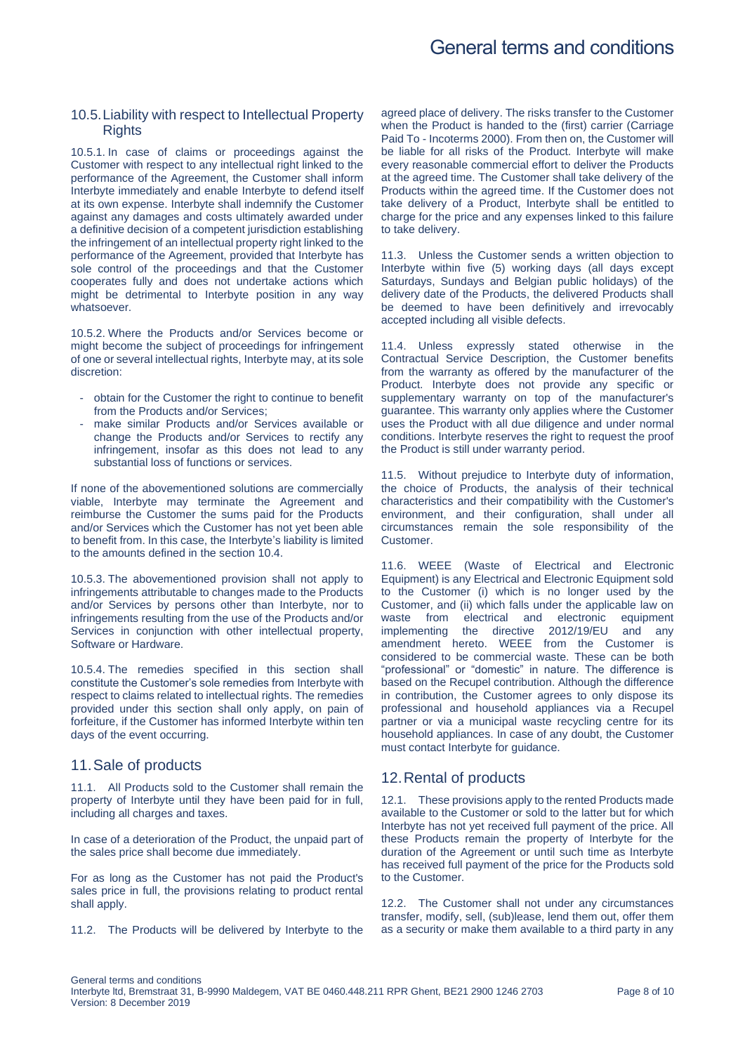# General terms and conditions

#### 10.5.Liability with respect to Intellectual Property **Rights**

10.5.1. In case of claims or proceedings against the Customer with respect to any intellectual right linked to the performance of the Agreement, the Customer shall inform Interbyte immediately and enable Interbyte to defend itself at its own expense. Interbyte shall indemnify the Customer against any damages and costs ultimately awarded under a definitive decision of a competent jurisdiction establishing the infringement of an intellectual property right linked to the performance of the Agreement, provided that Interbyte has sole control of the proceedings and that the Customer cooperates fully and does not undertake actions which might be detrimental to Interbyte position in any way whatsoever.

10.5.2. Where the Products and/or Services become or might become the subject of proceedings for infringement of one or several intellectual rights, Interbyte may, at its sole discretion:

- obtain for the Customer the right to continue to benefit from the Products and/or Services;
- make similar Products and/or Services available or change the Products and/or Services to rectify any infringement, insofar as this does not lead to any substantial loss of functions or services.

If none of the abovementioned solutions are commercially viable, Interbyte may terminate the Agreement and reimburse the Customer the sums paid for the Products and/or Services which the Customer has not yet been able to benefit from. In this case, the Interbyte's liability is limited to the amounts defined in the section [10.4.](#page-6-0)

10.5.3. The abovementioned provision shall not apply to infringements attributable to changes made to the Products and/or Services by persons other than Interbyte, nor to infringements resulting from the use of the Products and/or Services in conjunction with other intellectual property, Software or Hardware.

10.5.4. The remedies specified in this section shall constitute the Customer's sole remedies from Interbyte with respect to claims related to intellectual rights. The remedies provided under this section shall only apply, on pain of forfeiture, if the Customer has informed Interbyte within ten days of the event occurring.

## 11.Sale of products

11.1. All Products sold to the Customer shall remain the property of Interbyte until they have been paid for in full, including all charges and taxes.

In case of a deterioration of the Product, the unpaid part of the sales price shall become due immediately.

For as long as the Customer has not paid the Product's sales price in full, the provisions relating to product rental shall apply.

11.2. The Products will be delivered by Interbyte to the

agreed place of delivery. The risks transfer to the Customer when the Product is handed to the (first) carrier (Carriage Paid To - Incoterms 2000). From then on, the Customer will be liable for all risks of the Product. Interbyte will make every reasonable commercial effort to deliver the Products at the agreed time. The Customer shall take delivery of the Products within the agreed time. If the Customer does not take delivery of a Product, Interbyte shall be entitled to charge for the price and any expenses linked to this failure to take delivery.

11.3. Unless the Customer sends a written objection to Interbyte within five (5) working days (all days except Saturdays, Sundays and Belgian public holidays) of the delivery date of the Products, the delivered Products shall be deemed to have been definitively and irrevocably accepted including all visible defects.

11.4. Unless expressly stated otherwise in the Contractual Service Description, the Customer benefits from the warranty as offered by the manufacturer of the Product. Interbyte does not provide any specific or supplementary warranty on top of the manufacturer's guarantee. This warranty only applies where the Customer uses the Product with all due diligence and under normal conditions. Interbyte reserves the right to request the proof the Product is still under warranty period.

11.5. Without prejudice to Interbyte duty of information, the choice of Products, the analysis of their technical characteristics and their compatibility with the Customer's environment, and their configuration, shall under all circumstances remain the sole responsibility of the Customer.

11.6. WEEE (Waste of Electrical and Electronic Equipment) is any Electrical and Electronic Equipment sold to the Customer (i) which is no longer used by the Customer, and (ii) which falls under the applicable law on waste from electrical and electronic equipment implementing the directive 2012/19/EU and any amendment hereto. WEEE from the Customer is considered to be commercial waste. These can be both "professional" or "domestic" in nature. The difference is based on the Recupel contribution. Although the difference in contribution, the Customer agrees to only dispose its professional and household appliances via a Recupel partner or via a municipal waste recycling centre for its household appliances. In case of any doubt, the Customer must contact Interbyte for guidance.

## 12.Rental of products

12.1. These provisions apply to the rented Products made available to the Customer or sold to the latter but for which Interbyte has not yet received full payment of the price. All these Products remain the property of Interbyte for the duration of the Agreement or until such time as Interbyte has received full payment of the price for the Products sold to the Customer.

12.2. The Customer shall not under any circumstances transfer, modify, sell, (sub)lease, lend them out, offer them as a security or make them available to a third party in any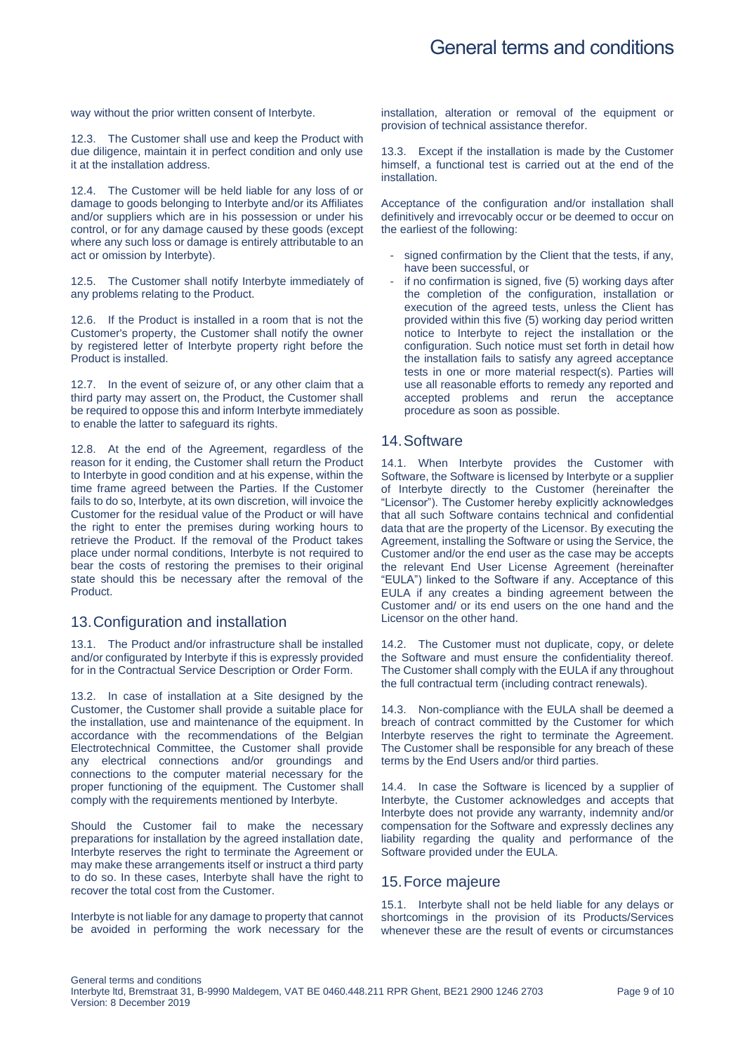way without the prior written consent of Interbyte.

12.3. The Customer shall use and keep the Product with due diligence, maintain it in perfect condition and only use it at the installation address.

12.4. The Customer will be held liable for any loss of or damage to goods belonging to Interbyte and/or its Affiliates and/or suppliers which are in his possession or under his control, or for any damage caused by these goods (except where any such loss or damage is entirely attributable to an act or omission by Interbyte).

12.5. The Customer shall notify Interbyte immediately of any problems relating to the Product.

12.6. If the Product is installed in a room that is not the Customer's property, the Customer shall notify the owner by registered letter of Interbyte property right before the Product is installed.

12.7. In the event of seizure of, or any other claim that a third party may assert on, the Product, the Customer shall be required to oppose this and inform Interbyte immediately to enable the latter to safeguard its rights.

12.8. At the end of the Agreement, regardless of the reason for it ending, the Customer shall return the Product to Interbyte in good condition and at his expense, within the time frame agreed between the Parties. If the Customer fails to do so, Interbyte, at its own discretion, will invoice the Customer for the residual value of the Product or will have the right to enter the premises during working hours to retrieve the Product. If the removal of the Product takes place under normal conditions, Interbyte is not required to bear the costs of restoring the premises to their original state should this be necessary after the removal of the Product.

## 13.Configuration and installation

13.1. The Product and/or infrastructure shall be installed and/or configurated by Interbyte if this is expressly provided for in the Contractual Service Description or Order Form.

13.2. In case of installation at a Site designed by the Customer, the Customer shall provide a suitable place for the installation, use and maintenance of the equipment. In accordance with the recommendations of the Belgian Electrotechnical Committee, the Customer shall provide any electrical connections and/or groundings and connections to the computer material necessary for the proper functioning of the equipment. The Customer shall comply with the requirements mentioned by Interbyte.

Should the Customer fail to make the necessary preparations for installation by the agreed installation date, Interbyte reserves the right to terminate the Agreement or may make these arrangements itself or instruct a third party to do so. In these cases, Interbyte shall have the right to recover the total cost from the Customer.

Interbyte is not liable for any damage to property that cannot be avoided in performing the work necessary for the

installation, alteration or removal of the equipment or provision of technical assistance therefor.

13.3. Except if the installation is made by the Customer himself, a functional test is carried out at the end of the installation.

Acceptance of the configuration and/or installation shall definitively and irrevocably occur or be deemed to occur on the earliest of the following:

- signed confirmation by the Client that the tests, if any, have been successful, or
- if no confirmation is signed, five (5) working days after the completion of the configuration, installation or execution of the agreed tests, unless the Client has provided within this five (5) working day period written notice to Interbyte to reject the installation or the configuration. Such notice must set forth in detail how the installation fails to satisfy any agreed acceptance tests in one or more material respect(s). Parties will use all reasonable efforts to remedy any reported and accepted problems and rerun the acceptance procedure as soon as possible.

## 14.Software

14.1. When Interbyte provides the Customer with Software, the Software is licensed by Interbyte or a supplier of Interbyte directly to the Customer (hereinafter the "Licensor"). The Customer hereby explicitly acknowledges that all such Software contains technical and confidential data that are the property of the Licensor. By executing the Agreement, installing the Software or using the Service, the Customer and/or the end user as the case may be accepts the relevant End User License Agreement (hereinafter "EULA") linked to the Software if any. Acceptance of this EULA if any creates a binding agreement between the Customer and/ or its end users on the one hand and the Licensor on the other hand.

14.2. The Customer must not duplicate, copy, or delete the Software and must ensure the confidentiality thereof. The Customer shall comply with the EULA if any throughout the full contractual term (including contract renewals).

14.3. Non-compliance with the EULA shall be deemed a breach of contract committed by the Customer for which Interbyte reserves the right to terminate the Agreement. The Customer shall be responsible for any breach of these terms by the End Users and/or third parties.

14.4. In case the Software is licenced by a supplier of Interbyte, the Customer acknowledges and accepts that Interbyte does not provide any warranty, indemnity and/or compensation for the Software and expressly declines any liability regarding the quality and performance of the Software provided under the EULA.

## 15.Force majeure

15.1. Interbyte shall not be held liable for any delays or shortcomings in the provision of its Products/Services whenever these are the result of events or circumstances